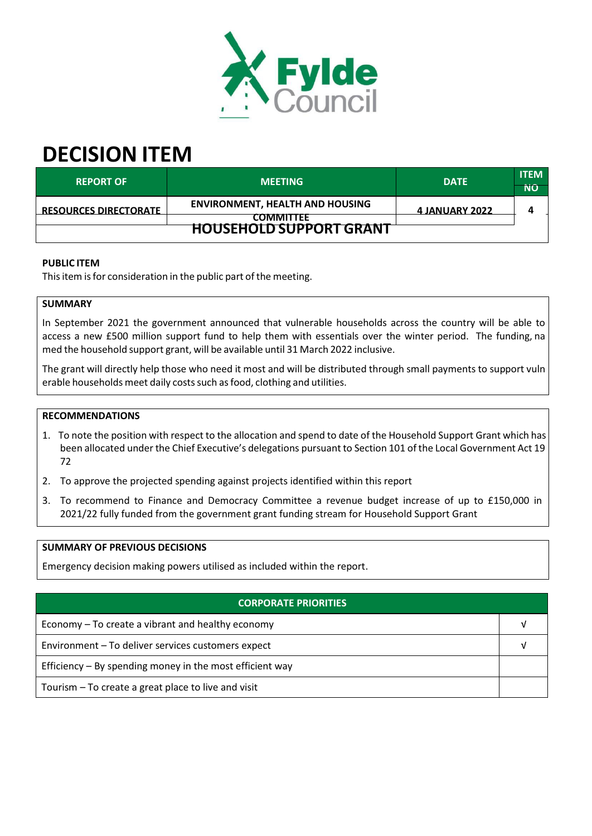

# **DECISION ITEM**

| <b>REPORT OF</b>               | <b>MEETING</b>                                             | <b>DATE</b>    | <b>ITEM</b><br>ÑÔ |  |  |
|--------------------------------|------------------------------------------------------------|----------------|-------------------|--|--|
| <b>ERESOURCES DIRECTORATE</b>  | <b>ENVIRONMENT, HEALTH AND HOUSING</b><br><b>COMMITTEE</b> | 4 JANUARY 2022 |                   |  |  |
| <b>HOUSEHOLD SUPPORT GRANT</b> |                                                            |                |                   |  |  |

# **PUBLIC ITEM**

This item is for consideration in the public part of the meeting.

## **SUMMARY**

In September 2021 the government announced that vulnerable households across the country will be able to access a new £500 million support fund to help them with essentials over the winter period. The funding, na med the household support grant, will be available until 31 March 2022 inclusive.

The grant will directly help those who need it most and will be distributed through small payments to support vuln erable households meet daily costs such as food, clothing and utilities.

# **RECOMMENDATIONS**

- 1. To note the position with respect to the allocation and spend to date of the Household Support Grant which has been allocated under the Chief Executive's delegations pursuant to Section 101 of the Local Government Act 19 72
- 2. To approve the projected spending against projects identified within this report
- 3. To recommend to Finance and Democracy Committee a revenue budget increase of up to £150,000 in 2021/22 fully funded from the government grant funding stream for Household Support Grant

#### **SUMMARY OF PREVIOUS DECISIONS**

Emergency decision making powers utilised as included within the report.

| <b>CORPORATE PRIORITIES</b>                                |  |  |  |  |
|------------------------------------------------------------|--|--|--|--|
| Economy – To create a vibrant and healthy economy          |  |  |  |  |
| Environment - To deliver services customers expect         |  |  |  |  |
| Efficiency $-$ By spending money in the most efficient way |  |  |  |  |
| Tourism - To create a great place to live and visit        |  |  |  |  |
|                                                            |  |  |  |  |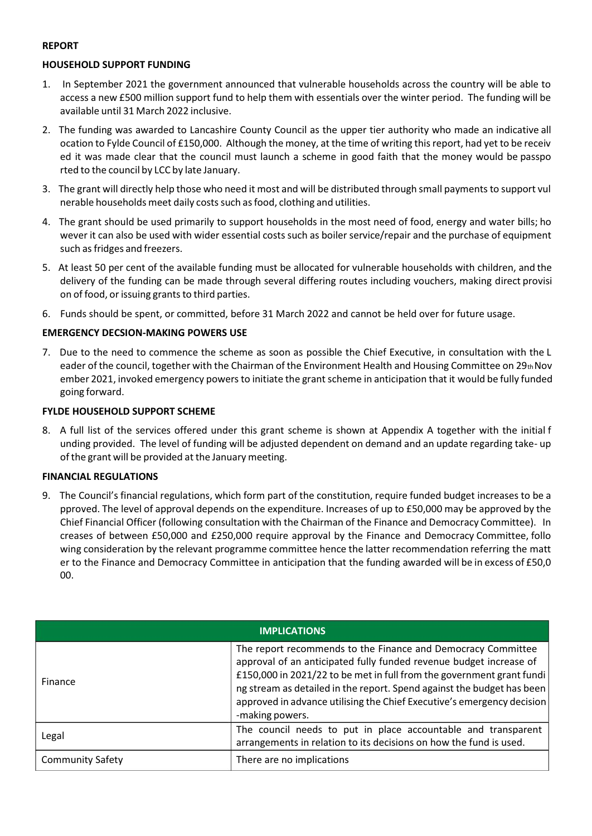## **REPORT**

# **HOUSEHOLD SUPPORT FUNDING**

- 1. In September 2021 the government announced that vulnerable households across the country will be able to access a new £500 million support fund to help them with essentials over the winter period. The funding will be available until 31 March 2022 inclusive.
- 2. The funding was awarded to Lancashire County Council as the upper tier authority who made an indicative all ocation to Fylde Council of £150,000. Although the money, at the time of writing thisreport, had yet to be receiv ed it was made clear that the council must launch a scheme in good faith that the money would be passpo rted to the council by LCC by late January.
- 3. The grant will directly help those who need it most and will be distributed through small payments to support vul nerable households meet daily costssuch asfood, clothing and utilities.
- 4. The grant should be used primarily to support households in the most need of food, energy and water bills; ho wever it can also be used with wider essential costs such as boiler service/repair and the purchase of equipment such as fridges and freezers.
- 5. At least 50 per cent of the available funding must be allocated for vulnerable households with children, and the delivery of the funding can be made through several differing routes including vouchers, making direct provisi on of food, or issuing grants to third parties.
- 6. Funds should be spent, or committed, before 31 March 2022 and cannot be held over for future usage.

# **EMERGENCY DECSION‐MAKING POWERS USE**

7. Due to the need to commence the scheme as soon as possible the Chief Executive, in consultation with the L eader of the council, together with the Chairman of the Environment Health and Housing Committee on 29th Nov ember 2021, invoked emergency powers to initiate the grant scheme in anticipation that it would be fully funded going forward.

## **FYLDE HOUSEHOLD SUPPORT SCHEME**

8. A full list of the services offered under this grant scheme is shown at Appendix A together with the initial f unding provided. The level of funding will be adjusted dependent on demand and an update regarding take‐ up of the grant will be provided at the January meeting.

#### **FINANCIAL REGULATIONS**

9. The Council's financial regulations, which form part of the constitution, require funded budget increases to be a pproved. The level of approval depends on the expenditure. Increases of up to £50,000 may be approved by the Chief Financial Officer (following consultation with the Chairman of the Finance and Democracy Committee). In creases of between £50,000 and £250,000 require approval by the Finance and Democracy Committee, follo wing consideration by the relevant programme committee hence the latter recommendation referring the matt er to the Finance and Democracy Committee in anticipation that the funding awarded will be in excess of £50,0 00.

| <b>IMPLICATIONS</b>     |                                                                                                                                                                                                                                                                                                                                                                                    |  |
|-------------------------|------------------------------------------------------------------------------------------------------------------------------------------------------------------------------------------------------------------------------------------------------------------------------------------------------------------------------------------------------------------------------------|--|
| Finance                 | The report recommends to the Finance and Democracy Committee<br>approval of an anticipated fully funded revenue budget increase of<br>£150,000 in 2021/22 to be met in full from the government grant fundi<br>ng stream as detailed in the report. Spend against the budget has been<br>approved in advance utilising the Chief Executive's emergency decision<br>-making powers. |  |
| Legal                   | The council needs to put in place accountable and transparent<br>arrangements in relation to its decisions on how the fund is used.                                                                                                                                                                                                                                                |  |
| <b>Community Safety</b> | There are no implications                                                                                                                                                                                                                                                                                                                                                          |  |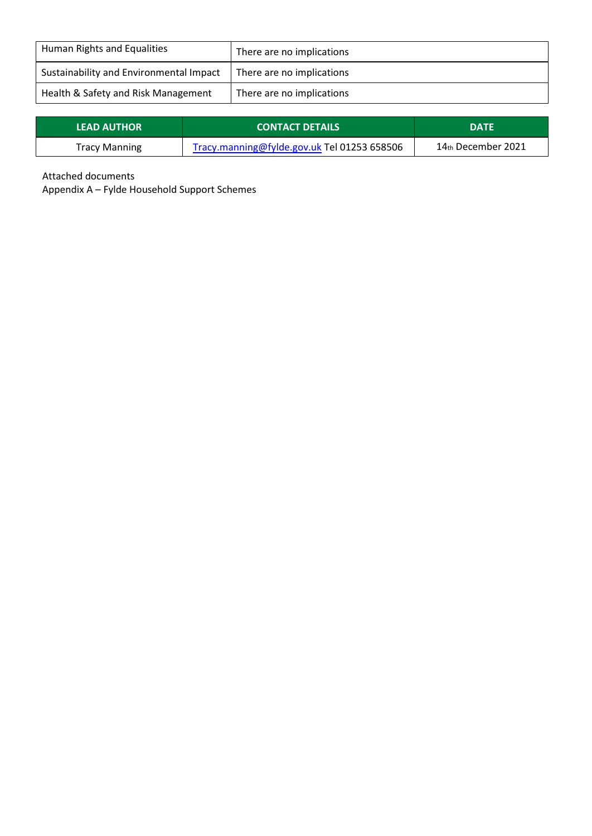| Human Rights and Equalities             | There are no implications |
|-----------------------------------------|---------------------------|
| Sustainability and Environmental Impact | There are no implications |
| Health & Safety and Risk Management     | There are no implications |

| <b>LEAD AUTHOR</b>   | <b>CONTACT DETAILS</b>                      | <b>DATE</b>           |
|----------------------|---------------------------------------------|-----------------------|
| <b>Tracy Manning</b> | Tracy.manning@fylde.gov.uk Tel 01253 658506 | $14$ th December 2021 |

Attached documents

 $\mathbb{L}$ 

Appendix A – Fylde Household Support Schemes